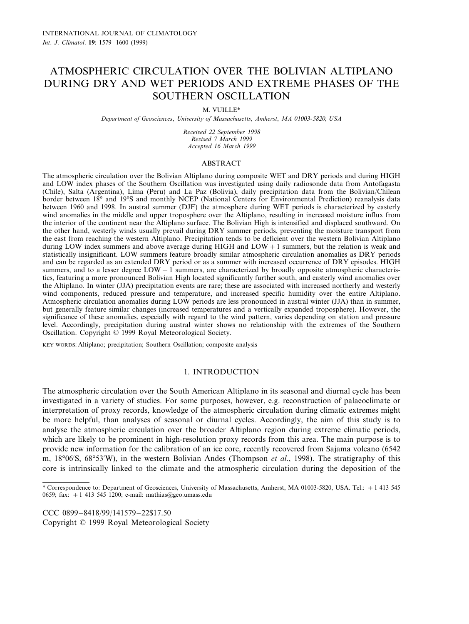# ATMOSPHERIC CIRCULATION OVER THE BOLIVIAN ALTIPLANO DURING DRY AND WET PERIODS AND EXTREME PHASES OF THE SOUTHERN OSCILLATION

#### M. VUILLE\*

*Department of Geosciences*, *Uni*6*ersity of Massachusetts*, *Amherst*, *MA* <sup>01003</sup>-5820, *USA*

*Recei*6*ed* <sup>22</sup> *September* <sup>1998</sup> *Re*6*ised* <sup>7</sup> *March* <sup>1999</sup> *Accepted* 16 *March* 1999

#### ABSTRACT

The atmospheric circulation over the Bolivian Altiplano during composite WET and DRY periods and during HIGH and LOW index phases of the Southern Oscillation was investigated using daily radiosonde data from Antofagasta (Chile), Salta (Argentina), Lima (Peru) and La Paz (Bolivia), daily precipitation data from the Bolivian/Chilean border between 18° and 19°S and monthly NCEP (National Centers for Environmental Prediction) reanalysis data between 1960 and 1998. In austral summer (DJF) the atmosphere during WET periods is characterized by easterly wind anomalies in the middle and upper troposphere over the Altiplano, resulting in increased moisture influx from the interior of the continent near the Altiplano surface. The Bolivian High is intensified and displaced southward. On the other hand, westerly winds usually prevail during DRY summer periods, preventing the moisture transport from the east from reaching the western Altiplano. Precipitation tends to be deficient over the western Bolivian Altiplano during LOW index summers and above average during HIGH and  $LOW+1$  summers, but the relation is weak and statistically insignificant. LOW summers feature broadly similar atmospheric circulation anomalies as DRY periods and can be regarded as an extended DRY period or as a summer with increased occurrence of DRY episodes. HIGH summers, and to a lesser degree  $LOW+1$  summers, are characterized by broadly opposite atmospheric characteristics, featuring a more pronounced Bolivian High located significantly further south, and easterly wind anomalies over the Altiplano. In winter (JJA) precipitation events are rare; these are associated with increased northerly and westerly wind components, reduced pressure and temperature, and increased specific humidity over the entire Altiplano. Atmospheric circulation anomalies during LOW periods are less pronounced in austral winter (JJA) than in summer, but generally feature similar changes (increased temperatures and a vertically expanded troposphere). However, the significance of these anomalies, especially with regard to the wind pattern, varies depending on station and pressure level. Accordingly, precipitation during austral winter shows no relationship with the extremes of the Southern Oscillation. Copyright © 1999 Royal Meteorological Society.

KEY WORDS: Altiplano; precipitation; Southern Oscillation; composite analysis

### 1. INTRODUCTION

The atmospheric circulation over the South American Altiplano in its seasonal and diurnal cycle has been investigated in a variety of studies. For some purposes, however, e.g. reconstruction of palaeoclimate or interpretation of proxy records, knowledge of the atmospheric circulation during climatic extremes might be more helpful, than analyses of seasonal or diurnal cycles. Accordingly, the aim of this study is to analyse the atmospheric circulation over the broader Altiplano region during extreme climatic periods, which are likely to be prominent in high-resolution proxy records from this area. The main purpose is to provide new information for the calibration of an ice core, recently recovered from Sajama volcano (6542 m, 18°06%S, 68°53%W), in the western Bolivian Andes (Thompson *et al*., 1998). The stratigraphy of this core is intrinsically linked to the climate and the atmospheric circulation during the deposition of the

CCC 0899–8418/99/141579–22\$17.50

Copyright © 1999 Royal Meteorological Society

<sup>\*</sup> Correspondence to: Department of Geosciences, University of Massachusetts, Amherst, MA 01003-5820, USA. Tel.: +1 413 545 0659; fax:  $+1$  413 545 1200; e-mail: mathias@geo.umass.edu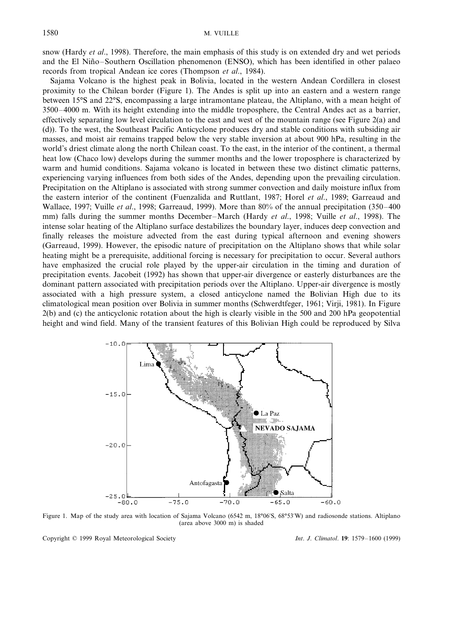snow (Hardy *et al*., 1998). Therefore, the main emphasis of this study is on extended dry and wet periods and the El Niño–Southern Oscillation phenomenon (ENSO), which has been identified in other palaeo records from tropical Andean ice cores (Thompson *et al*., 1984).

Sajama Volcano is the highest peak in Bolivia, located in the western Andean Cordillera in closest proximity to the Chilean border (Figure 1). The Andes is split up into an eastern and a western range between 15°S and 22°S, encompassing a large intramontane plateau, the Altiplano, with a mean height of 3500–4000 m. With its height extending into the middle troposphere, the Central Andes act as a barrier, effectively separating low level circulation to the east and west of the mountain range (see Figure 2(a) and (d)). To the west, the Southeast Pacific Anticyclone produces dry and stable conditions with subsiding air masses, and moist air remains trapped below the very stable inversion at about 900 hPa, resulting in the world's driest climate along the north Chilean coast. To the east, in the interior of the continent, a thermal heat low (Chaco low) develops during the summer months and the lower troposphere is characterized by warm and humid conditions. Sajama volcano is located in between these two distinct climatic patterns, experiencing varying influences from both sides of the Andes, depending upon the prevailing circulation. Precipitation on the Altiplano is associated with strong summer convection and daily moisture influx from the eastern interior of the continent (Fuenzalida and Ruttlant, 1987; Horel *et al*., 1989; Garreaud and Wallace, 1997; Vuille *et al*., 1998; Garreaud, 1999). More than 80% of the annual precipitation (350–400 mm) falls during the summer months December–March (Hardy *et al*., 1998; Vuille *et al*., 1998). The intense solar heating of the Altiplano surface destabilizes the boundary layer, induces deep convection and finally releases the moisture advected from the east during typical afternoon and evening showers (Garreaud, 1999). However, the episodic nature of precipitation on the Altiplano shows that while solar heating might be a prerequisite, additional forcing is necessary for precipitation to occur. Several authors have emphasized the crucial role played by the upper-air circulation in the timing and duration of precipitation events. Jacobeit (1992) has shown that upper-air divergence or easterly disturbances are the dominant pattern associated with precipitation periods over the Altiplano. Upper-air divergence is mostly associated with a high pressure system, a closed anticyclone named the Bolivian High due to its climatological mean position over Bolivia in summer months (Schwerdtfeger, 1961; Virji, 1981). In Figure 2(b) and (c) the anticyclonic rotation about the high is clearly visible in the 500 and 200 hPa geopotential height and wind field. Many of the transient features of this Bolivian High could be reproduced by Silva



Figure 1. Map of the study area with location of Sajama Volcano (6542 m, 18°06'S, 68°53'W) and radiosonde stations. Altiplano (area above 3000 m) is shaded

Copyright © 1999 Royal Meteorological Society *Int*. *J*. *Climatol*. **19**: 1579–1600 (1999)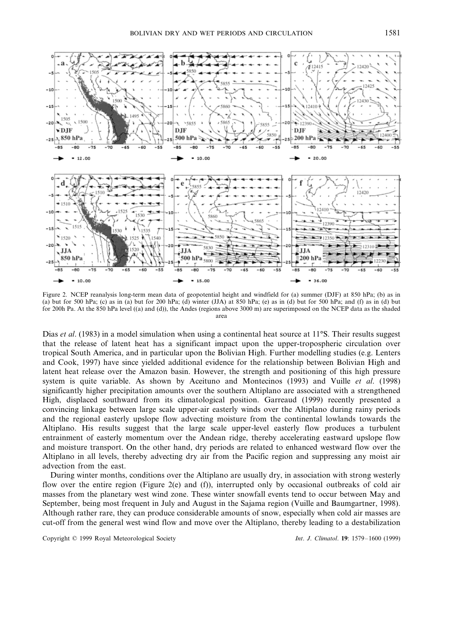

Figure 2. NCEP reanalysis long-term mean data of geopotential height and windfield for (a) summer (DJF) at 850 hPa; (b) as in (a) but for 500 hPa; (c) as in (a) but for 200 hPa; (d) winter  $JJA$  at 850 hPa; (e) as in (d) but for 500 hPa; and (f) as in (d) but for 200h Pa. At the 850 hPa level ((a) and (d)), the Andes (regions above 3000 m) are superimposed on the NCEP data as the shaded area

Dias *et al.* (1983) in a model simulation when using a continental heat source at 11°S. Their results suggest that the release of latent heat has a significant impact upon the upper-tropospheric circulation over tropical South America, and in particular upon the Bolivian High. Further modelling studies (e.g. Lenters and Cook, 1997) have since yielded additional evidence for the relationship between Bolivian High and latent heat release over the Amazon basin. However, the strength and positioning of this high pressure system is quite variable. As shown by Aceituno and Montecinos (1993) and Vuille *et al*. (1998) significantly higher precipitation amounts over the southern Altiplano are associated with a strengthened High, displaced southward from its climatological position. Garreaud (1999) recently presented a convincing linkage between large scale upper-air easterly winds over the Altiplano during rainy periods and the regional easterly upslope flow advecting moisture from the continental lowlands towards the Altiplano. His results suggest that the large scale upper-level easterly flow produces a turbulent entrainment of easterly momentum over the Andean ridge, thereby accelerating eastward upslope flow and moisture transport. On the other hand, dry periods are related to enhanced westward flow over the Altiplano in all levels, thereby advecting dry air from the Pacific region and suppressing any moist air advection from the east.

During winter months, conditions over the Altiplano are usually dry, in association with strong westerly flow over the entire region (Figure 2(e) and (f)), interrupted only by occasional outbreaks of cold air masses from the planetary west wind zone. These winter snowfall events tend to occur between May and September, being most frequent in July and August in the Sajama region (Vuille and Baumgartner, 1998). Although rather rare, they can produce considerable amounts of snow, especially when cold air masses are cut-off from the general west wind flow and move over the Altiplano, thereby leading to a destabilization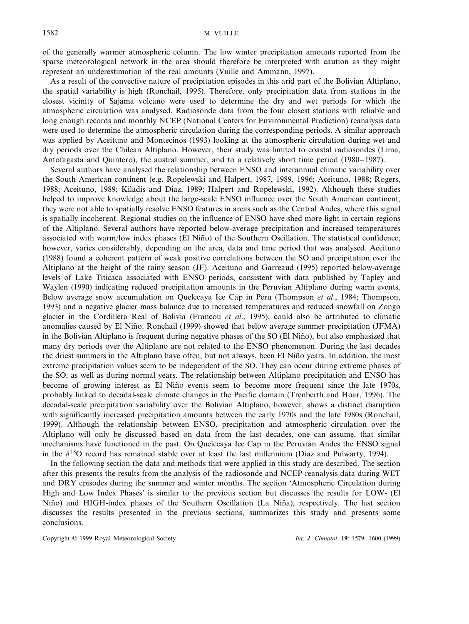of the generally warmer atmospheric column. The low winter precipitation amounts reported from the sparse meteorological network in the area should therefore be interpreted with caution as they might represent an underestimation of the real amounts (Vuille and Ammann, 1997).

As a result of the convective nature of precipitation episodes in this arid part of the Bolivian Altiplano, the spatial variability is high (Ronchail, 1995). Therefore, only precipitation data from stations in the closest vicinity of Sajama volcano were used to determine the dry and wet periods for which the atmospheric circulation was analysed. Radiosonde data from the four closest stations with reliable and long enough records and monthly NCEP (National Centers for Environmental Prediction) reanalysis data were used to determine the atmospheric circulation during the corresponding periods. A similar approach was applied by Aceituno and Montecinos (1993) looking at the atmospheric circulation during wet and dry periods over the Chilean Altiplano. However, their study was limited to coastal radiosondes (Lima, Antofagasta and Quintero), the austral summer, and to a relatively short time period (1980–1987).

Several authors have analysed the relationship between ENSO and interannual climatic variability over the South American continent (e.g. Ropelewski and Halpert, 1987, 1989, 1996; Aceituno, 1988; Rogers, 1988; Aceituno, 1989; Kiladis and Diaz, 1989; Halpert and Ropelewski, 1992). Although these studies helped to improve knowledge about the large-scale ENSO influence over the South American continent, they were not able to spatially resolve ENSO features in areas such as the Central Andes, where this signal is spatially incoherent. Regional studies on the influence of ENSO have shed more light in certain regions of the Altiplano. Several authors have reported below-average precipitation and increased temperatures associated with warm/low index phases (El Niño) of the Southern Oscillation. The statistical confidence, however, varies considerably, depending on the area, data and time period that was analysed. Aceituno (1988) found a coherent pattern of weak positive correlations between the SO and precipitation over the Altiplano at the height of the rainy season (JF). Aceituno and Garreaud (1995) reported below-average levels of Lake Titicaca associated with ENSO periods, consistent with data published by Tapley and Waylen (1990) indicating reduced precipitation amounts in the Peruvian Altiplano during warm events. Below average snow accumulation on Quelccaya Ice Cap in Peru (Thompson *et al*., 1984; Thompson, 1993) and a negative glacier mass balance due to increased temperatures and reduced snowfall on Zongo glacier in the Cordillera Real of Bolivia (Francou *et al*., 1995), could also be attributed to climatic anomalies caused by El Niño. Ronchail (1999) showed that below average summer precipitation (JFMA) in the Bolivian Altiplano is frequent during negative phases of the SO (El Niño), but also emphasized that many dry periods over the Altiplano are not related to the ENSO phenomenon. During the last decades the driest summers in the Altiplano have often, but not always, been El Niño years. In addition, the most extreme precipitation values seem to be independent of the SO. They can occur during extreme phases of the SO, as well as during normal years. The relationship between Altiplano precipitation and ENSO has become of growing interest as El Niño events seem to become more frequent since the late 1970s, probably linked to decadal-scale climate changes in the Pacific domain (Trenberth and Hoar, 1996). The decadal-scale precipitation variability over the Bolivian Altiplano, however, shows a distinct disruption with significantly increased precipitation amounts between the early 1970s and the late 1980s (Ronchail, 1999). Although the relationship between ENSO, precipitation and atmospheric circulation over the Altiplano will only be discussed based on data from the last decades, one can assume, that similar mechanisms have functioned in the past. On Quelccaya Ice Cap in the Peruvian Andes the ENSO signal in the  $\delta^{18}$ O record has remained stable over at least the last millennium (Diaz and Pulwarty, 1994).

In the following section the data and methods that were applied in this study are described. The section after this presents the results from the analysis of the radiosonde and NCEP reanalysis data during WET and DRY episodes during the summer and winter months. The section 'Atmospheric Circulation during High and Low Index Phases' is similar to the previous section but discusses the results for LOW- (El Niño) and HIGH-index phases of the Southern Oscillation (La Niña), respectively. The last section discusses the results presented in the previous sections, summarizes this study and presents some conclusions.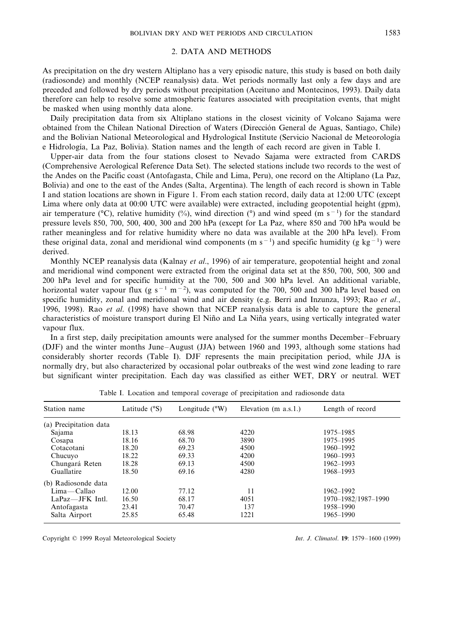## 2. DATA AND METHODS

As precipitation on the dry western Altiplano has a very episodic nature, this study is based on both daily (radiosonde) and monthly (NCEP reanalysis) data. Wet periods normally last only a few days and are preceded and followed by dry periods without precipitation (Aceituno and Montecinos, 1993). Daily data therefore can help to resolve some atmospheric features associated with precipitation events, that might be masked when using monthly data alone.

Daily precipitation data from six Altiplano stations in the closest vicinity of Volcano Sajama were obtained from the Chilean National Direction of Waters (Dirección General de Aguas, Santiago, Chile) and the Bolivian National Meteorological and Hydrological Institute (Servicio Nacional de Meteorologı´a e Hidrología, La Paz, Bolivia). Station names and the length of each record are given in Table I.

Upper-air data from the four stations closest to Nevado Sajama were extracted from CARDS (Comprehensive Aerological Reference Data Set). The selected stations include two records to the west of the Andes on the Pacific coast (Antofagasta, Chile and Lima, Peru), one record on the Altiplano (La Paz, Bolivia) and one to the east of the Andes (Salta, Argentina). The length of each record is shown in Table I and station locations are shown in Figure 1. From each station record, daily data at 12:00 UTC (except Lima where only data at 00:00 UTC were available) were extracted, including geopotential height (gpm), air temperature (°C), relative humidity (%), wind direction (°) and wind speed (m s−<sup>1</sup> ) for the standard pressure levels 850, 700, 500, 400, 300 and 200 hPa (except for La Paz, where 850 and 700 hPa would be rather meaningless and for relative humidity where no data was available at the 200 hPa level). From these original data, zonal and meridional wind components (m s<sup>-1</sup>) and specific humidity (g kg<sup>-1</sup>) were derived.

Monthly NCEP reanalysis data (Kalnay *et al*., 1996) of air temperature, geopotential height and zonal and meridional wind component were extracted from the original data set at the 850, 700, 500, 300 and 200 hPa level and for specific humidity at the 700, 500 and 300 hPa level. An additional variable, horizontal water vapour flux (g s<sup>-1</sup> m<sup>-2</sup>), was computed for the 700, 500 and 300 hPa level based on specific humidity, zonal and meridional wind and air density (e.g. Berri and Inzunza, 1993; Rao *et al*., 1996, 1998). Rao *et al*. (1998) have shown that NCEP reanalysis data is able to capture the general characteristics of moisture transport during El Niño and La Niña years, using vertically integrated water vapour flux.

In a first step, daily precipitation amounts were analysed for the summer months December–February (DJF) and the winter months June–August (JJA) between 1960 and 1993, although some stations had considerably shorter records (Table I). DJF represents the main precipitation period, while JJA is normally dry, but also characterized by occasional polar outbreaks of the west wind zone leading to rare but significant winter precipitation. Each day was classified as either WET, DRY or neutral. WET

| Station name           | Latitude $(^{\circ}S)$ | Longitude $(^{\circ}W)$ | Elevation $(m \text{ a.s.}1.)$ | Length of record    |
|------------------------|------------------------|-------------------------|--------------------------------|---------------------|
| (a) Precipitation data |                        |                         |                                |                     |
| Sajama                 | 18.13                  | 68.98                   | 4220                           | 1975–1985           |
| Cosapa                 | 18.16                  | 68.70                   | 3890                           | 1975–1995           |
| Cotacotani             | 18.20                  | 69.23                   | 4500                           | 1960–1992           |
| Chucuyo                | 18.22                  | 69.33                   | 4200                           | 1960–1993           |
| Chungará Reten         | 18.28                  | 69.13                   | 4500                           | 1962–1993           |
| Guallatire             | 18.50                  | 69.16                   | 4280                           | 1968-1993           |
| (b) Radiosonde data    |                        |                         |                                |                     |
| Lima—Callao            | 12.00                  | 77.12                   | 11                             | 1962–1992           |
| $LaPaz = JFK$ Intl.    | 16.50                  | 68.17                   | 4051                           | 1970-1982/1987-1990 |
| Antofagasta            | 23.41                  | 70.47                   | 137                            | 1958–1990           |
| Salta Airport          | 25.85                  | 65.48                   | 1221                           | 1965–1990           |

Table I. Location and temporal coverage of precipitation and radiosonde data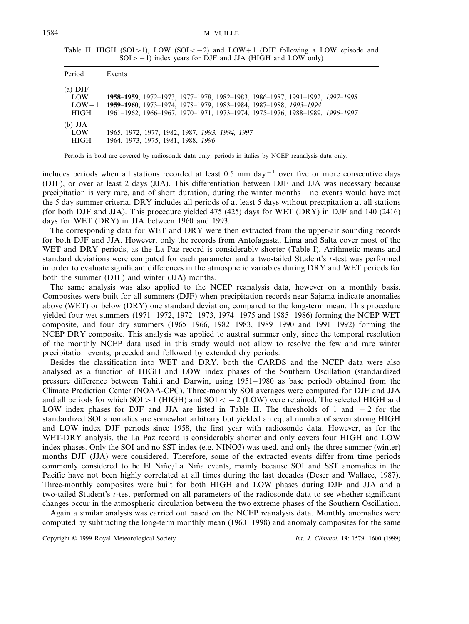### 1584 M. VUILLE

| Period                                     | Events                                                                                                                                                                                                                         |
|--------------------------------------------|--------------------------------------------------------------------------------------------------------------------------------------------------------------------------------------------------------------------------------|
| $(a)$ DJF<br><b>LOW</b><br>$LOW+1$<br>HIGH | 1958–1959, 1972–1973, 1977–1978, 1982–1983, 1986–1987, 1991–1992, 1997–1998<br>1959-1960, 1973-1974, 1978-1979, 1983-1984, 1987-1988, 1993-1994<br>1961–1962, 1966–1967, 1970–1971, 1973–1974, 1975–1976, 1988–1989, 1996–1997 |
| $(b)$ JJA<br>LOW<br><b>HIGH</b>            | 1965, 1972, 1977, 1982, 1987, 1993, 1994, 1997<br>1964, 1973, 1975, 1981, 1988, 1996                                                                                                                                           |

Table II. HIGH (SOI>1), LOW (SOI< $-2$ ) and LOW+1 (DJF following a LOW episode and  $SOI>–1)$  index years for DJF and JJA (HIGH and LOW only)

Periods in bold are covered by radiosonde data only, periods in italics by NCEP reanalysis data only.

includes periods when all stations recorded at least 0.5 mm day<sup>-1</sup> over five or more consecutive days (DJF), or over at least 2 days (JJA). This differentiation between DJF and JJA was necessary because precipitation is very rare, and of short duration, during the winter months—no events would have met the 5 day summer criteria. DRY includes all periods of at least 5 days without precipitation at all stations (for both DJF and JJA). This procedure yielded 475 (425) days for WET (DRY) in DJF and 140 (2416) days for WET (DRY) in JJA between 1960 and 1993.

The corresponding data for WET and DRY were then extracted from the upper-air sounding records for both DJF and JJA. However, only the records from Antofagasta, Lima and Salta cover most of the WET and DRY periods, as the La Paz record is considerably shorter (Table I). Arithmetic means and standard deviations were computed for each parameter and a two-tailed Student's *t*-test was performed in order to evaluate significant differences in the atmospheric variables during DRY and WET periods for both the summer (DJF) and winter (JJA) months.

The same analysis was also applied to the NCEP reanalysis data, however on a monthly basis. Composites were built for all summers (DJF) when precipitation records near Sajama indicate anomalies above (WET) or below (DRY) one standard deviation, compared to the long-term mean. This procedure yielded four wet summers (1971–1972, 1972–1973, 1974–1975 and 1985–1986) forming the NCEP WET composite, and four dry summers (1965–1966, 1982–1983, 1989–1990 and 1991–1992) forming the NCEP DRY composite. This analysis was applied to austral summer only, since the temporal resolution of the monthly NCEP data used in this study would not allow to resolve the few and rare winter precipitation events, preceded and followed by extended dry periods.

Besides the classification into WET and DRY, both the CARDS and the NCEP data were also analysed as a function of HIGH and LOW index phases of the Southern Oscillation (standardized pressure difference between Tahiti and Darwin, using 1951–1980 as base period) obtained from the Climate Prediction Center (NOAA-CPC). Three-monthly SOI averages were computed for DJF and JJA and all periods for which  $SOI > 1$  (HIGH) and  $SOI < -2$  (LOW) were retained. The selected HIGH and LOW index phases for DJF and JJA are listed in Table II. The thresholds of 1 and −2 for the standardized SOI anomalies are somewhat arbitrary but yielded an equal number of seven strong HIGH and LOW index DJF periods since 1958, the first year with radiosonde data. However, as for the WET-DRY analysis, the La Paz record is considerably shorter and only covers four HIGH and LOW index phases. Only the SOI and no SST index (e.g. NINO3) was used, and only the three summer (winter) months DJF (JJA) were considered. Therefore, some of the extracted events differ from time periods commonly considered to be El Niño/La Niña events, mainly because SOI and SST anomalies in the Pacific have not been highly correlated at all times during the last decades (Deser and Wallace, 1987). Three-monthly composites were built for both HIGH and LOW phases during DJF and JJA and a two-tailed Student's *t*-test performed on all parameters of the radiosonde data to see whether significant changes occur in the atmospheric circulation between the two extreme phases of the Southern Oscillation.

Again a similar analysis was carried out based on the NCEP reanalysis data. Monthly anomalies were computed by subtracting the long-term monthly mean (1960–1998) and anomaly composites for the same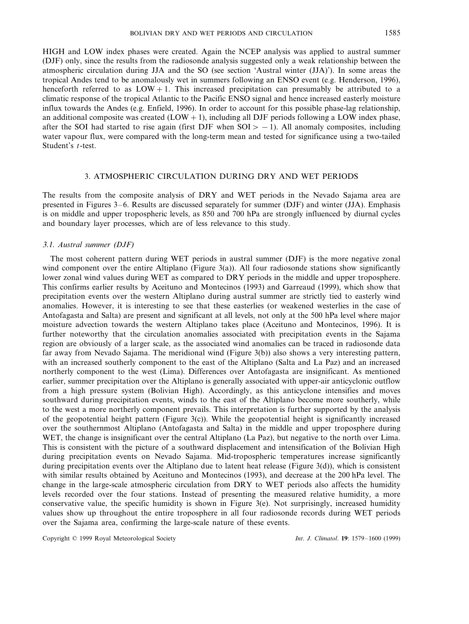HIGH and LOW index phases were created. Again the NCEP analysis was applied to austral summer (DJF) only, since the results from the radiosonde analysis suggested only a weak relationship between the atmospheric circulation during JJA and the SO (see section 'Austral winter (JJA)'). In some areas the tropical Andes tend to be anomalously wet in summers following an ENSO event (e.g. Henderson, 1996), henceforth referred to as  $LOW + 1$ . This increased precipitation can presumably be attributed to a climatic response of the tropical Atlantic to the Pacific ENSO signal and hence increased easterly moisture influx towards the Andes (e.g. Enfield, 1996). In order to account for this possible phase-lag relationship, an additional composite was created  $(LOW + 1)$ , including all DJF periods following a LOW index phase, after the SOI had started to rise again (first DJF when  $SOI> -1$ ). All anomaly composites, including water vapour flux, were compared with the long-term mean and tested for significance using a two-tailed Student's *t*-test.

## 3. ATMOSPHERIC CIRCULATION DURING DRY AND WET PERIODS

The results from the composite analysis of DRY and WET periods in the Nevado Sajama area are presented in Figures 3–6. Results are discussed separately for summer (DJF) and winter (JJA). Emphasis is on middle and upper tropospheric levels, as 850 and 700 hPa are strongly influenced by diurnal cycles and boundary layer processes, which are of less relevance to this study.

### 3.1. *Austral summer* (*DJF*)

The most coherent pattern during WET periods in austral summer (DJF) is the more negative zonal wind component over the entire Altiplano (Figure 3(a)). All four radiosonde stations show significantly lower zonal wind values during WET as compared to DRY periods in the middle and upper troposphere. This confirms earlier results by Aceituno and Montecinos (1993) and Garreaud (1999), which show that precipitation events over the western Altiplano during austral summer are strictly tied to easterly wind anomalies. However, it is interesting to see that these easterlies (or weakened westerlies in the case of Antofagasta and Salta) are present and significant at all levels, not only at the 500 hPa level where major moisture advection towards the western Altiplano takes place (Aceituno and Montecinos, 1996). It is further noteworthy that the circulation anomalies associated with precipitation events in the Sajama region are obviously of a larger scale, as the associated wind anomalies can be traced in radiosonde data far away from Nevado Sajama. The meridional wind (Figure 3(b)) also shows a very interesting pattern, with an increased southerly component to the east of the Altiplano (Salta and La Paz) and an increased northerly component to the west (Lima). Differences over Antofagasta are insignificant. As mentioned earlier, summer precipitation over the Altiplano is generally associated with upper-air anticyclonic outflow from a high pressure system (Bolivian High). Accordingly, as this anticyclone intensifies and moves southward during precipitation events, winds to the east of the Altiplano become more southerly, while to the west a more northerly component prevails. This interpretation is further supported by the analysis of the geopotential height pattern (Figure 3(c)). While the geopotential height is significantly increased over the southernmost Altiplano (Antofagasta and Salta) in the middle and upper troposphere during WET, the change is insignificant over the central Altiplano (La Paz), but negative to the north over Lima. This is consistent with the picture of a southward displacement and intensification of the Bolivian High during precipitation events on Nevado Sajama. Mid-tropospheric temperatures increase significantly during precipitation events over the Altiplano due to latent heat release (Figure 3(d)), which is consistent with similar results obtained by Aceituno and Montecinos (1993), and decrease at the 200 hPa level. The change in the large-scale atmospheric circulation from DRY to WET periods also affects the humidity levels recorded over the four stations. Instead of presenting the measured relative humidity, a more conservative value, the specific humidity is shown in Figure 3(e). Not surprisingly, increased humidity values show up throughout the entire troposphere in all four radiosonde records during WET periods over the Sajama area, confirming the large-scale nature of these events.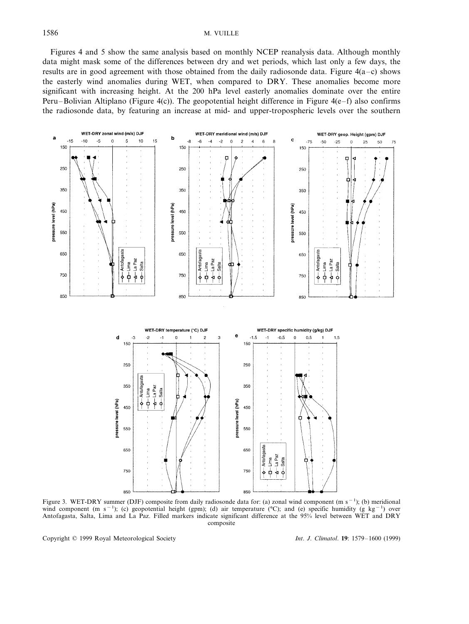Figures 4 and 5 show the same analysis based on monthly NCEP reanalysis data. Although monthly data might mask some of the differences between dry and wet periods, which last only a few days, the results are in good agreement with those obtained from the daily radiosonde data. Figure 4(a–c) shows the easterly wind anomalies during WET, when compared to DRY. These anomalies become more significant with increasing height. At the 200 hPa level easterly anomalies dominate over the entire Peru–Bolivian Altiplano (Figure 4(c)). The geopotential height difference in Figure 4(e–f) also confirms the radiosonde data, by featuring an increase at mid- and upper-tropospheric levels over the southern



Figure 3. WET-DRY summer (DJF) composite from daily radiosonde data for: (a) zonal wind component (m s−<sup>1</sup> ); (b) meridional wind component (m s<sup>-1</sup>); (c) geopotential height (gpm); (d) air temperature (°C); and (e) specific humidity (g kg<sup>-1</sup>) over Antofagasta, Salta, Lima and La Paz. Filled markers indicate significant difference at the 95% level between WET and DRY composite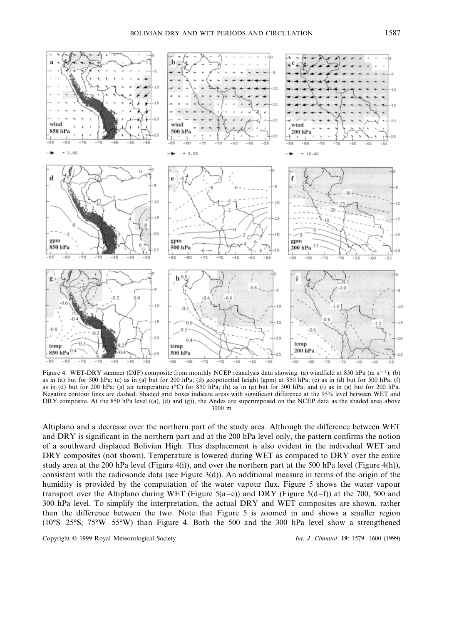

Figure 4. WET-DRY summer (DJF) composite from monthly NCEP reanalysis data showing: (a) windfield at 850 hPa (m s<sup>−</sup>  $\vert$ ); (b) as in (a) but for 500 hPa; (c) as in (a) but for 200 hPa; (d) geopotential height (gpm) at 850 hPa; (e) as in (d) but for 500 hPa; (f) as in (d) but for 200 hPa; (g) air temperature (°C) for 850 hPa; (h) as in (g) but for 500 hPa; and (i) as in (g) but for 200 hPa. Negative contour lines are dashed. Shaded grid boxes indicate areas with significant difference at the 95% level between WET and DRY composite. At the 850 hPa level ((a), (d) and (g)), the Andes are superimposed on the NCEP data as the shaded area above 3000 m

Altiplano and a decrease over the northern part of the study area. Although the difference between WET and DRY is significant in the northern part and at the 200 hPa level only, the pattern confirms the notion of a southward displaced Bolivian High. This displacement is also evident in the individual WET and DRY composites (not shown). Temperature is lowered during WET as compared to DRY over the entire study area at the 200 hPa level (Figure 4(i)), and over the northern part at the 500 hPa level (Figure 4(h)), consistent with the radiosonde data (see Figure 3(d)). An additional measure in terms of the origin of the humidity is provided by the computation of the water vapour flux. Figure 5 shows the water vapour transport over the Altiplano during WET (Figure 5(a–c)) and DRY (Figure 5(d–f)) at the 700, 500 and 300 hPa level. To simplify the interpretation, the actual DRY and WET composites are shown, rather than the difference between the two. Note that Figure 5 is zoomed in and shows a smaller region (10°S–25°S; 75°W–55°W) than Figure 4. Both the 500 and the 300 hPa level show a strengthened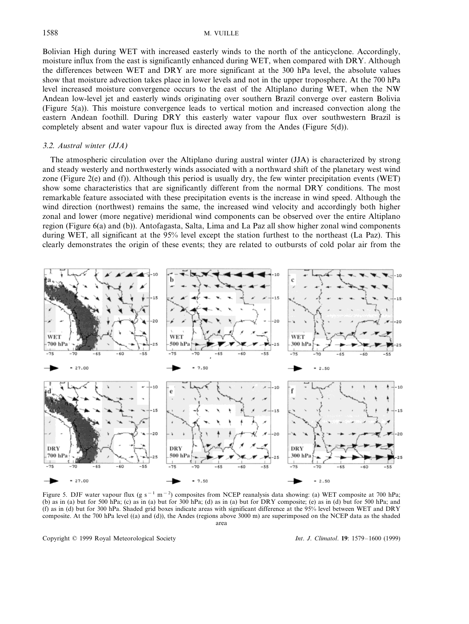Bolivian High during WET with increased easterly winds to the north of the anticyclone. Accordingly, moisture influx from the east is significantly enhanced during WET, when compared with DRY. Although the differences between WET and DRY are more significant at the 300 hPa level, the absolute values show that moisture advection takes place in lower levels and not in the upper troposphere. At the 700 hPa level increased moisture convergence occurs to the east of the Altiplano during WET, when the NW Andean low-level jet and easterly winds originating over southern Brazil converge over eastern Bolivia (Figure 5(a)). This moisture convergence leads to vertical motion and increased convection along the eastern Andean foothill. During DRY this easterly water vapour flux over southwestern Brazil is completely absent and water vapour flux is directed away from the Andes (Figure 5(d)).

### 3.2. *Austral winter* (*JJA*)

The atmospheric circulation over the Altiplano during austral winter (JJA) is characterized by strong and steady westerly and northwesterly winds associated with a northward shift of the planetary west wind zone (Figure 2(e) and (f)). Although this period is usually dry, the few winter precipitation events (WET) show some characteristics that are significantly different from the normal DRY conditions. The most remarkable feature associated with these precipitation events is the increase in wind speed. Although the wind direction (northwest) remains the same, the increased wind velocity and accordingly both higher zonal and lower (more negative) meridional wind components can be observed over the entire Altiplano region (Figure 6(a) and (b)). Antofagasta, Salta, Lima and La Paz all show higher zonal wind components during WET, all significant at the 95% level except the station furthest to the northeast (La Paz). This clearly demonstrates the origin of these events; they are related to outbursts of cold polar air from the



Figure 5. DJF water vapour flux (g s<sup>-1</sup> m<sup>-2</sup>) composites from NCEP reanalysis data showing: (a) WET composite at 700 hPa; (b) as in (a) but for 500 hPa; (c) as in (a) but for 300 hPa; (d) as in (a) but for DRY composite; (e) as in (d) but for 500 hPa; and (f) as in (d) but for 300 hPa. Shaded grid boxes indicate areas with significant difference at the 95% level between WET and DRY composite. At the 700 hPa level ((a) and (d)), the Andes (regions above 3000 m) are superimposed on the NCEP data as the shaded area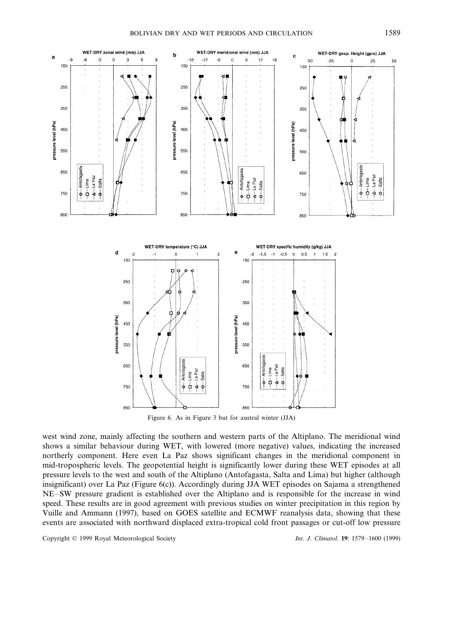

Figure 6. As in Figure 3 but for austral winter (JJA)

west wind zone, mainly affecting the southern and western parts of the Altiplano. The meridional wind shows a similar behaviour during WET, with lowered (more negative) values, indicating the increased northerly component. Here even La Paz shows significant changes in the meridional component in mid-tropospheric levels. The geopotential height is significantly lower during these WET episodes at all pressure levels to the west and south of the Altiplano (Antofagasta, Salta and Lima) but higher (although insignificant) over La Paz (Figure 6(c)). Accordingly during JJA WET episodes on Sajama a strengthened NE–SW pressure gradient is established over the Altiplano and is responsible for the increase in wind speed. These results are in good agreement with previous studies on winter precipitation in this region by Vuille and Ammann (1997), based on GOES satellite and ECMWF reanalysis data, showing that these events are associated with northward displaced extra-tropical cold front passages or cut-off low pressure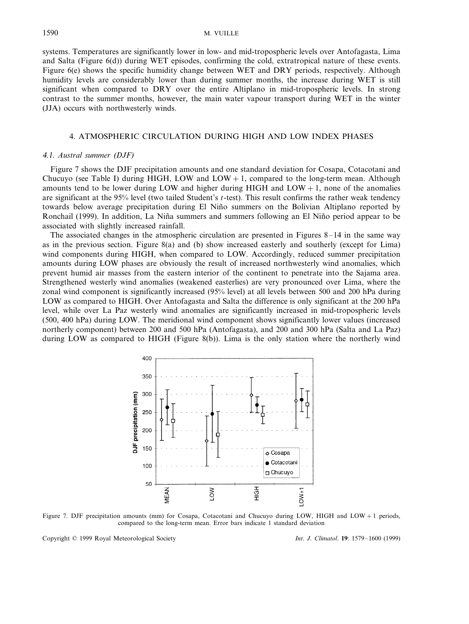systems. Temperatures are significantly lower in low- and mid-tropospheric levels over Antofagasta, Lima and Salta (Figure 6(d)) during WET episodes, confirming the cold, extratropical nature of these events. Figure 6(e) shows the specific humidity change between WET and DRY periods, respectively. Although humidity levels are considerably lower than during summer months, the increase during WET is still significant when compared to DRY over the entire Altiplano in mid-tropospheric levels. In strong contrast to the summer months, however, the main water vapour transport during WET in the winter (JJA) occurs with northwesterly winds.

## 4. ATMOSPHERIC CIRCULATION DURING HIGH AND LOW INDEX PHASES

#### 4.1. *Austral summer* (*DJF*)

Figure 7 shows the DJF precipitation amounts and one standard deviation for Cosapa, Cotacotani and Chucuyo (see Table I) during HIGH, LOW and  $LOW + 1$ , compared to the long-term mean. Although amounts tend to be lower during LOW and higher during HIGH and  $LOW + 1$ , none of the anomalies are significant at the 95% level (two tailed Student's *t*-test). This result confirms the rather weak tendency towards below average precipitation during El Niño summers on the Bolivian Altiplano reported by Ronchail (1999). In addition, La Niña summers and summers following an El Niño period appear to be associated with slightly increased rainfall.

The associated changes in the atmospheric circulation are presented in Figures 8–14 in the same way as in the previous section. Figure 8(a) and (b) show increased easterly and southerly (except for Lima) wind components during HIGH, when compared to LOW. Accordingly, reduced summer precipitation amounts during LOW phases are obviously the result of increased northwesterly wind anomalies, which prevent humid air masses from the eastern interior of the continent to penetrate into the Sajama area. Strengthened westerly wind anomalies (weakened easterlies) are very pronounced over Lima, where the zonal wind component is significantly increased (95% level) at all levels between 500 and 200 hPa during LOW as compared to HIGH. Over Antofagasta and Salta the difference is only significant at the 200 hPa level, while over La Paz westerly wind anomalies are significantly increased in mid-tropospheric levels (500, 400 hPa) during LOW. The meridional wind component shows significantly lower values (increased northerly component) between 200 and 500 hPa (Antofagasta), and 200 and 300 hPa (Salta and La Paz) during LOW as compared to HIGH (Figure 8(b)). Lima is the only station where the northerly wind



Figure 7. DJF precipitation amounts (mm) for Cosapa, Cotacotani and Chucuyo during LOW, HIGH and LOW + 1 periods, compared to the long-term mean. Error bars indicate 1 standard deviation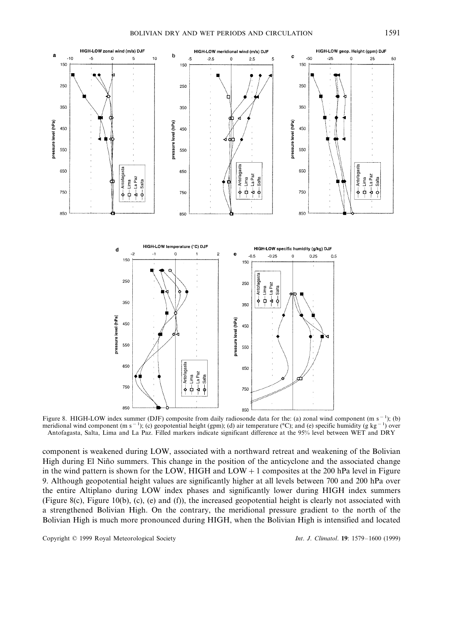

Figure 8. HIGH-LOW index summer (DJF) composite from daily radiosonde data for the: (a) zonal wind component  $(m s^{-1})$ ; (b) meridional wind component (m s<sup>-1</sup>); (c) geopotential height (gpm); (d) air temperature (°C); and (e) specific humidity (g kg<sup>-1</sup>) over Antofagasta, Salta, Lima and La Paz. Filled markers indicate significant difference at the 95% level between WET and DRY

component is weakened during LOW, associated with a northward retreat and weakening of the Bolivian High during El Niño summers. This change in the position of the anticyclone and the associated change in the wind pattern is shown for the LOW, HIGH and  $LOW + 1$  composites at the 200 hPa level in Figure 9. Although geopotential height values are significantly higher at all levels between 700 and 200 hPa over the entire Altiplano during LOW index phases and significantly lower during HIGH index summers (Figure 8(c), Figure 10(b), (c), (e) and (f)), the increased geopotential height is clearly not associated with a strengthened Bolivian High. On the contrary, the meridional pressure gradient to the north of the Bolivian High is much more pronounced during HIGH, when the Bolivian High is intensified and located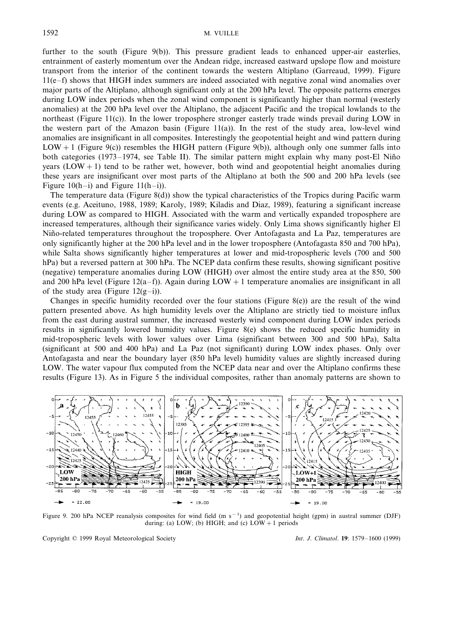further to the south (Figure 9(b)). This pressure gradient leads to enhanced upper-air easterlies, entrainment of easterly momentum over the Andean ridge, increased eastward upslope flow and moisture transport from the interior of the continent towards the western Altiplano (Garreaud, 1999). Figure 11(e–f) shows that HIGH index summers are indeed associated with negative zonal wind anomalies over major parts of the Altiplano, although significant only at the 200 hPa level. The opposite patterns emerges during LOW index periods when the zonal wind component is significantly higher than normal (westerly anomalies) at the 200 hPa level over the Altiplano, the adjacent Pacific and the tropical lowlands to the northeast (Figure 11(c)). In the lower troposphere stronger easterly trade winds prevail during LOW in the western part of the Amazon basin (Figure 11(a)). In the rest of the study area, low-level wind anomalies are insignificant in all composites. Interestingly the geopotential height and wind pattern during LOW + 1 (Figure 9(c)) resembles the HIGH pattern (Figure 9(b)), although only one summer falls into both categories (1973–1974, see Table II). The similar pattern might explain why many post-El Niño years  $(LOW + 1)$  tend to be rather wet, however, both wind and geopotential height anomalies during these years are insignificant over most parts of the Altiplano at both the 500 and 200 hPa levels (see Figure  $10(h-i)$  and Figure  $11(h-i)$ ).

The temperature data (Figure 8(d)) show the typical characteristics of the Tropics during Pacific warm events (e.g. Aceituno, 1988, 1989; Karoly, 1989; Kiladis and Diaz, 1989), featuring a significant increase during LOW as compared to HIGH. Associated with the warm and vertically expanded troposphere are increased temperatures, although their significance varies widely. Only Lima shows significantly higher El Niño-related temperatures throughout the troposphere. Over Antofagasta and La Paz, temperatures are only significantly higher at the 200 hPa level and in the lower troposphere (Antofagasta 850 and 700 hPa), while Salta shows significantly higher temperatures at lower and mid-tropospheric levels (700 and 500 hPa) but a reversed pattern at 300 hPa. The NCEP data confirm these results, showing significant positive (negative) temperature anomalies during LOW (HIGH) over almost the entire study area at the 850, 500 and 200 hPa level (Figure 12(a–f)). Again during  $LOW + 1$  temperature anomalies are insignificant in all of the study area (Figure  $12(g-i)$ ).

Changes in specific humidity recorded over the four stations (Figure 8(e)) are the result of the wind pattern presented above. As high humidity levels over the Altiplano are strictly tied to moisture influx from the east during austral summer, the increased westerly wind component during LOW index periods results in significantly lowered humidity values. Figure 8(e) shows the reduced specific humidity in mid-tropospheric levels with lower values over Lima (significant between 300 and 500 hPa), Salta (significant at 500 and 400 hPa) and La Paz (not significant) during LOW index phases. Only over Antofagasta and near the boundary layer (850 hPa level) humidity values are slightly increased during LOW. The water vapour flux computed from the NCEP data near and over the Altiplano confirms these results (Figure 13). As in Figure 5 the individual composites, rather than anomaly patterns are shown to



Figure 9. 200 hPa NCEP reanalysis composites for wind field (m s<sup>-1</sup>) and geopotential height (gpm) in austral summer (DJF) during: (a) LOW; (b) HIGH; and (c)  $LOW + 1$  periods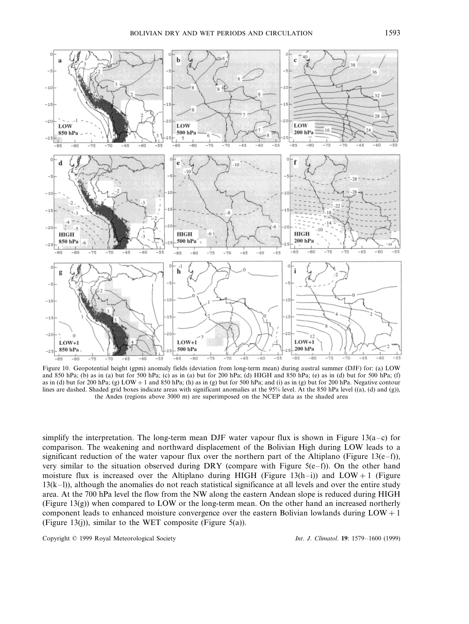

Figure 10. Geopotential height (gpm) anomaly fields (deviation from long-term mean) during austral summer (DJF) for: (a) LOW and 850 hPa; (b) as in (a) but for 500 hPa; (c) as in (a) but for 200 hPa; (d) HIGH and 850 hPa; (e) as in (d) but for 500 hPa; (f) as in (d) but for 200 hPa; (g) LOW + 1 and 850 hPa; (h) as in (g) but for 500 hPa; and (i) as in (g) but for 200 hPa. Negative contour lines are dashed. Shaded grid boxes indicate areas with significant anomalies at the 95% level. At the 850 hPa level ((a), (d) and (g)), the Andes (regions above 3000 m) are superimposed on the NCEP data as the shaded area

simplify the interpretation. The long-term mean DJF water vapour flux is shown in Figure 13( $a-c$ ) for comparison. The weakening and northward displacement of the Bolivian High during LOW leads to a significant reduction of the water vapour flux over the northern part of the Altiplano (Figure 13(e-f)), very similar to the situation observed during DRY (compare with Figure  $5(e-f)$ ). On the other hand moisture flux is increased over the Altiplano during HIGH (Figure 13(h–i)) and LOW + 1 (Figure  $13(k-1)$ ), although the anomalies do not reach statistical significance at all levels and over the entire study area. At the 700 hPa level the flow from the NW along the eastern Andean slope is reduced during HIGH (Figure  $13(g)$ ) when compared to LOW or the long-term mean. On the other hand an increased northerly component leads to enhanced moisture convergence over the eastern Bolivian lowlands during  $LOW + 1$ (Figure 13(j)), similar to the WET composite (Figure 5(a)).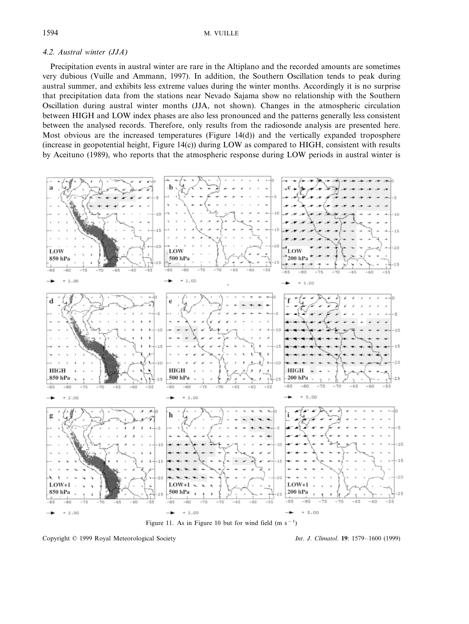### 4.2. *Austral winter* (*JJA*)

Precipitation events in austral winter are rare in the Altiplano and the recorded amounts are sometimes very dubious (Vuille and Ammann, 1997). In addition, the Southern Oscillation tends to peak during austral summer, and exhibits less extreme values during the winter months. Accordingly it is no surprise that precipitation data from the stations near Nevado Sajama show no relationship with the Southern Oscillation during austral winter months (JJA, not shown). Changes in the atmospheric circulation between HIGH and LOW index phases are also less pronounced and the patterns generally less consistent between the analysed records. Therefore, only results from the radiosonde analysis are presented here. Most obvious are the increased temperatures (Figure 14(d)) and the vertically expanded troposphere (increase in geopotential height, Figure 14(c)) during LOW as compared to HIGH, consistent with results by Aceituno (1989), who reports that the atmospheric response during LOW periods in austral winter is



Figure 11. As in Figure 10 but for wind field  $(m s<sup>-1</sup>)$ 

Copyright © 1999 Royal Meteorological Society *Int*. *J*. *Climatol*. **19**: 1579–1600 (1999)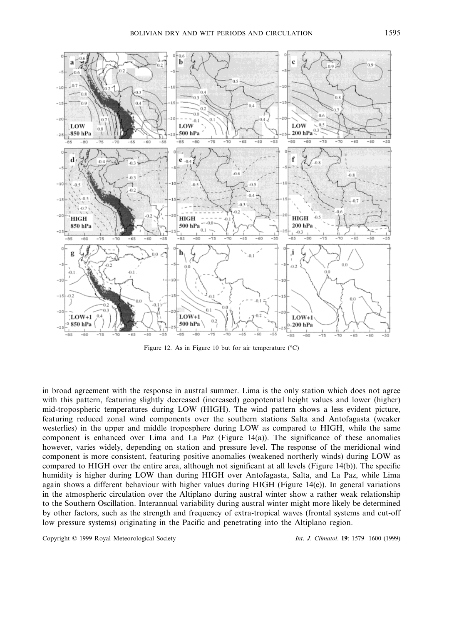

Figure 12. As in Figure 10 but for air temperature (°C)

in broad agreement with the response in austral summer. Lima is the only station which does not agree with this pattern, featuring slightly decreased (increased) geopotential height values and lower (higher) mid-tropospheric temperatures during LOW (HIGH). The wind pattern shows a less evident picture, featuring reduced zonal wind components over the southern stations Salta and Antofagasta (weaker westerlies) in the upper and middle troposphere during LOW as compared to HIGH, while the same component is enhanced over Lima and La Paz (Figure 14(a)). The significance of these anomalies however, varies widely, depending on station and pressure level. The response of the meridional wind component is more consistent, featuring positive anomalies (weakened northerly winds) during LOW as compared to HIGH over the entire area, although not significant at all levels (Figure 14(b)). The specific humidity is higher during LOW than during HIGH over Antofagasta, Salta, and La Paz, while Lima again shows a different behaviour with higher values during HIGH (Figure 14(e)). In general variations in the atmospheric circulation over the Altiplano during austral winter show a rather weak relationship to the Southern Oscillation. Interannual variability during austral winter might more likely be determined by other factors, such as the strength and frequency of extra-tropical waves (frontal systems and cut-off low pressure systems) originating in the Pacific and penetrating into the Altiplano region.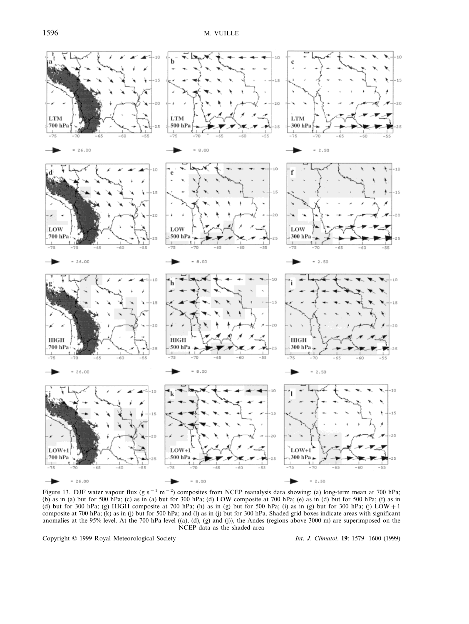

Figure 13. DJF water vapour flux (g s<sup>-1</sup> m<sup>-2</sup>) composites from NCEP reanalysis data showing: (a) long-term mean at 700 hPa; (b) as in (a) but for 500 hPa; (c) as in (a) but for 300 hPa; (d) LOW composite at 700 hPa; (e) as in (d) but for 500 hPa; (f) as in (d) but for 300 hPa; (g) HIGH composite at 700 hPa; (h) as in (g) but for 500 hPa; (i) as in (g) but for 300 hPa; (j) LOW + 1 composite at 700 hPa;  $(k)$  as in (j) but for 500 hPa; and (l) as in (j) but for 300 hPa. Shaded grid boxes indicate areas with significant anomalies at the 95% level. At the 700 hPa level  $((a), (d), (g)$  and  $(j))$ , the Andes (regions above 3000 m) are superimposed on the NCEP data as the shaded area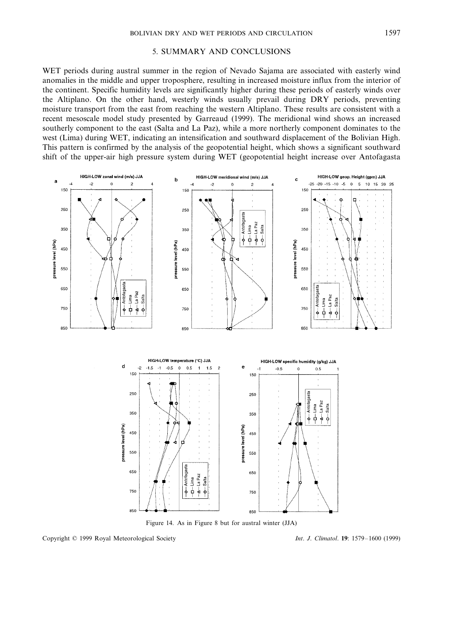## 5. SUMMARY AND CONCLUSIONS

WET periods during austral summer in the region of Nevado Sajama are associated with easterly wind anomalies in the middle and upper troposphere, resulting in increased moisture influx from the interior of the continent. Specific humidity levels are significantly higher during these periods of easterly winds over the Altiplano. On the other hand, westerly winds usually prevail during DRY periods, preventing moisture transport from the east from reaching the western Altiplano. These results are consistent with a recent mesoscale model study presented by Garreaud (1999). The meridional wind shows an increased southerly component to the east (Salta and La Paz), while a more northerly component dominates to the west (Lima) during WET, indicating an intensification and southward displacement of the Bolivian High. This pattern is confirmed by the analysis of the geopotential height, which shows a significant southward shift of the upper-air high pressure system during WET (geopotential height increase over Antofagasta



Figure 14. As in Figure 8 but for austral winter (JJA)

Copyright © 1999 Royal Meteorological Society *Int*. *J*. *Climatol*. **19**: 1579–1600 (1999)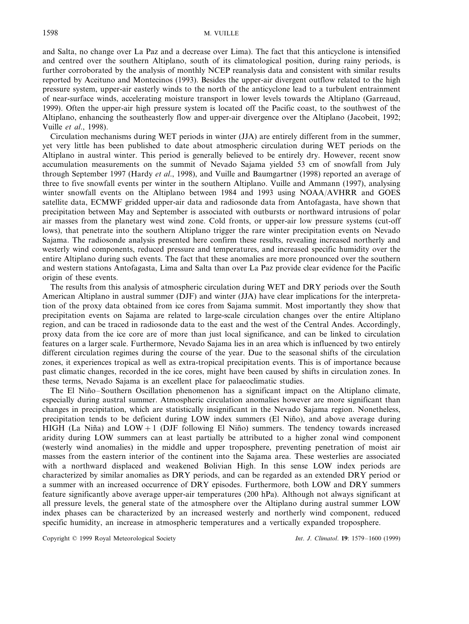and Salta, no change over La Paz and a decrease over Lima). The fact that this anticyclone is intensified and centred over the southern Altiplano, south of its climatological position, during rainy periods, is further corroborated by the analysis of monthly NCEP reanalysis data and consistent with similar results reported by Aceituno and Montecinos (1993). Besides the upper-air divergent outflow related to the high pressure system, upper-air easterly winds to the north of the anticyclone lead to a turbulent entrainment of near-surface winds, accelerating moisture transport in lower levels towards the Altiplano (Garreaud, 1999). Often the upper-air high pressure system is located off the Pacific coast, to the southwest of the Altiplano, enhancing the southeasterly flow and upper-air divergence over the Altiplano (Jacobeit, 1992; Vuille *et al*., 1998).

Circulation mechanisms during WET periods in winter (JJA) are entirely different from in the summer, yet very little has been published to date about atmospheric circulation during WET periods on the Altiplano in austral winter. This period is generally believed to be entirely dry. However, recent snow accumulation measurements on the summit of Nevado Sajama yielded 53 cm of snowfall from July through September 1997 (Hardy *et al*., 1998), and Vuille and Baumgartner (1998) reported an average of three to five snowfall events per winter in the southern Altiplano. Vuille and Ammann (1997), analysing winter snowfall events on the Altiplano between 1984 and 1993 using NOAA/AVHRR and GOES satellite data, ECMWF gridded upper-air data and radiosonde data from Antofagasta, have shown that precipitation between May and September is associated with outbursts or northward intrusions of polar air masses from the planetary west wind zone. Cold fronts, or upper-air low pressure systems (cut-off lows), that penetrate into the southern Altiplano trigger the rare winter precipitation events on Nevado Sajama. The radiosonde analysis presented here confirm these results, revealing increased northerly and westerly wind components, reduced pressure and temperatures, and increased specific humidity over the entire Altiplano during such events. The fact that these anomalies are more pronounced over the southern and western stations Antofagasta, Lima and Salta than over La Paz provide clear evidence for the Pacific origin of these events.

The results from this analysis of atmospheric circulation during WET and DRY periods over the South American Altiplano in austral summer (DJF) and winter (JJA) have clear implications for the interpretation of the proxy data obtained from ice cores from Sajama summit. Most importantly they show that precipitation events on Sajama are related to large-scale circulation changes over the entire Altiplano region, and can be traced in radiosonde data to the east and the west of the Central Andes. Accordingly, proxy data from the ice core are of more than just local significance, and can be linked to circulation features on a larger scale. Furthermore, Nevado Sajama lies in an area which is influenced by two entirely different circulation regimes during the course of the year. Due to the seasonal shifts of the circulation zones, it experiences tropical as well as extra-tropical precipitation events. This is of importance because past climatic changes, recorded in the ice cores, might have been caused by shifts in circulation zones. In these terms, Nevado Sajama is an excellent place for palaeoclimatic studies.

The El Niño–Southern Oscillation phenomenon has a significant impact on the Altiplano climate, especially during austral summer. Atmospheric circulation anomalies however are more significant than changes in precipitation, which are statistically insignificant in the Nevado Sajama region. Nonetheless, precipitation tends to be deficient during LOW index summers (El Niño), and above average during HIGH (La Niña) and LOW + 1 (DJF following El Niño) summers. The tendency towards increased aridity during LOW summers can at least partially be attributed to a higher zonal wind component (westerly wind anomalies) in the middle and upper troposphere, preventing penetration of moist air masses from the eastern interior of the continent into the Sajama area. These westerlies are associated with a northward displaced and weakened Bolivian High. In this sense LOW index periods are characterized by similar anomalies as DRY periods, and can be regarded as an extended DRY period or a summer with an increased occurrence of DRY episodes. Furthermore, both LOW and DRY summers feature significantly above average upper-air temperatures (200 hPa). Although not always significant at all pressure levels, the general state of the atmosphere over the Altiplano during austral summer LOW index phases can be characterized by an increased westerly and northerly wind component, reduced specific humidity, an increase in atmospheric temperatures and a vertically expanded troposphere.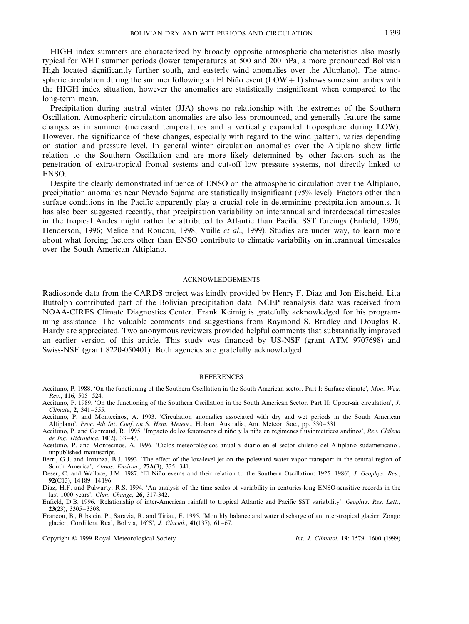HIGH index summers are characterized by broadly opposite atmospheric characteristics also mostly typical for WET summer periods (lower temperatures at 500 and 200 hPa, a more pronounced Bolivian High located significantly further south, and easterly wind anomalies over the Altiplano). The atmospheric circulation during the summer following an El Niño event  $(LOW + 1)$  shows some similarities with the HIGH index situation, however the anomalies are statistically insignificant when compared to the long-term mean.

Precipitation during austral winter (JJA) shows no relationship with the extremes of the Southern Oscillation. Atmospheric circulation anomalies are also less pronounced, and generally feature the same changes as in summer (increased temperatures and a vertically expanded troposphere during LOW). However, the significance of these changes, especially with regard to the wind pattern, varies depending on station and pressure level. In general winter circulation anomalies over the Altiplano show little relation to the Southern Oscillation and are more likely determined by other factors such as the penetration of extra-tropical frontal systems and cut-off low pressure systems, not directly linked to ENSO.

Despite the clearly demonstrated influence of ENSO on the atmospheric circulation over the Altiplano, precipitation anomalies near Nevado Sajama are statistically insignificant (95% level). Factors other than surface conditions in the Pacific apparently play a crucial role in determining precipitation amounts. It has also been suggested recently, that precipitation variability on interannual and interdecadal timescales in the tropical Andes might rather be attributed to Atlantic than Pacific SST forcings (Enfield, 1996; Henderson, 1996; Melice and Roucou, 1998; Vuille *et al*., 1999). Studies are under way, to learn more about what forcing factors other than ENSO contribute to climatic variability on interannual timescales over the South American Altiplano.

#### ACKNOWLEDGEMENTS

Radiosonde data from the CARDS project was kindly provided by Henry F. Diaz and Jon Eischeid. Lita Buttolph contributed part of the Bolivian precipitation data. NCEP reanalysis data was received from NOAA-CIRES Climate Diagnostics Center. Frank Keimig is gratefully acknowledged for his programming assistance. The valuable comments and suggestions from Raymond S. Bradley and Douglas R. Hardy are appreciated. Two anonymous reviewers provided helpful comments that substantially improved an earlier version of this article. This study was financed by US-NSF (grant ATM 9707698) and Swiss-NSF (grant 8220-050401). Both agencies are gratefully acknowledged.

#### REFERENCES

- Aceituno, P. 1988. 'On the functioning of the Southern Oscillation in the South American sector. Part I: Surface climate', *Mon*. *Wea*. *Re*6., **116**, 505–524.
- Aceituno, P. 1989. 'On the functioning of the Southern Oscillation in the South American Sector. Part II: Upper-air circulation', *J*. *Climate*, **2**, 341–355.
- Aceituno, P. and Montecinos, A. 1993. 'Circulation anomalies associated with dry and wet periods in the South American Altiplano', *Proc*. <sup>4</sup>*th Int*. *Conf*. *on S*. *Hem*. *Meteor*., Hobart, Australia, Am. Meteor. Soc., pp. 330–331.
- Aceituno, P. and Garreaud, R. 1995. 'Impacto de los fenomenos el niño y la niña en regimenes fluviometricos andinos', Rev. Chilena *de Ing*. *Hidraulica*, **10**(2), 33–43.
- Aceituno, P. and Montecinos, A. 1996. 'Ciclos meteorológicos anual y diario en el sector chileno del Altiplano sudamericano', unpublished manuscript.
- Berri, G.J. and Inzunza, B.J. 1993. 'The effect of the low-level jet on the poleward water vapor transport in the central region of South America', Atmos. *Environ.*, 27A(3), 335-341.
- Deser, C. and Wallace, J.M. 1987. 'El Niño events and their relation to the Southern Oscillation: 1925–1986', *J. Geophys. Res.*, **92**(C13), 14189–14196.
- Diaz, H.F. and Pulwarty, R.S. 1994. 'An analysis of the time scales of variability in centuries-long ENSO-sensitive records in the last 1000 years', *Clim*. *Change*, **26**, 317-342.
- Enfield, D.B. 1996. 'Relationship of inter-American rainfall to tropical Atlantic and Pacific SST variability', *Geophys*. *Res*. *Lett*., **23**(23), 3305–3308.
- Francou, B., Ribstein, P., Saravia, R. and Tiriau, E. 1995. 'Monthly balance and water discharge of an inter-tropical glacier: Zongo glacier, Cordillera Real, Bolivia, 16°S', *J*. *Glaciol*., **41**(137), 61–67.